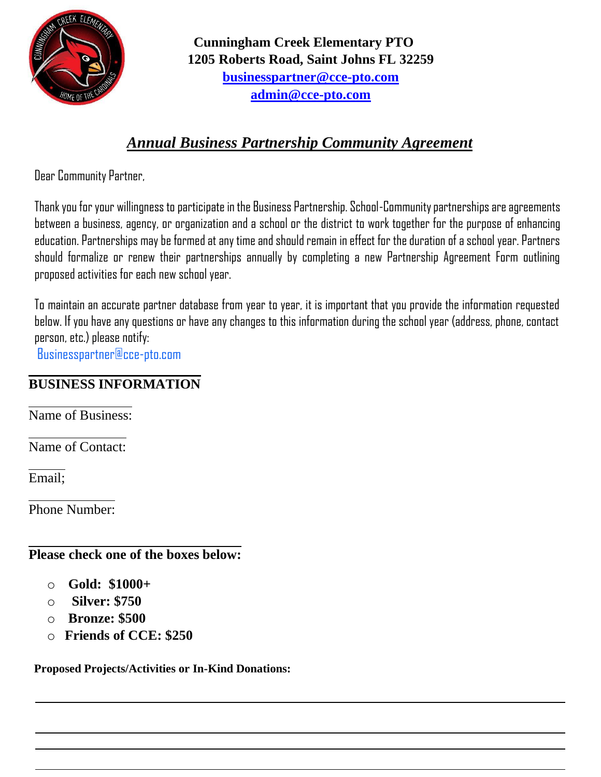

**Cunningham Creek Elementary PTO 1205 Roberts Road, Saint Johns FL 32259 businesspartner@cce-pto.com admin@cce-pto.com**

## *Annual Business Partnership Community Agreement*

Dear Community Partner,

Thank you for your willingness to participate in the Business Partnership. School-Community partnerships are agreements between a business, agency, or organization and a school or the district to work together for the purpose of enhancing education. Partnerships may be formed at any time and should remain in effect for the duration of a school year. Partners should formalize or renew their partnerships annually by completing a new Partnership Agreement Form outlining proposed activities for each new school year.

To maintain an accurate partner database from year to year, it is important that you provide the information requested below. If you have any questions or have any changes to this information during the school year (address, phone, contact person, etc.) please notify:

Businesspartner@cce-pto.com

## **BUSINESS INFORMATION**

Name of Business:

Name of Contact:

Email;

Phone Number:

## **Please check one of the boxes below:**

- o **Gold: \$1000+**
- o **Silver: \$750**
- o **Bronze: \$500**
- o **Friends of CCE: \$250**

**Proposed Projects/Activities or In-Kind Donations:**